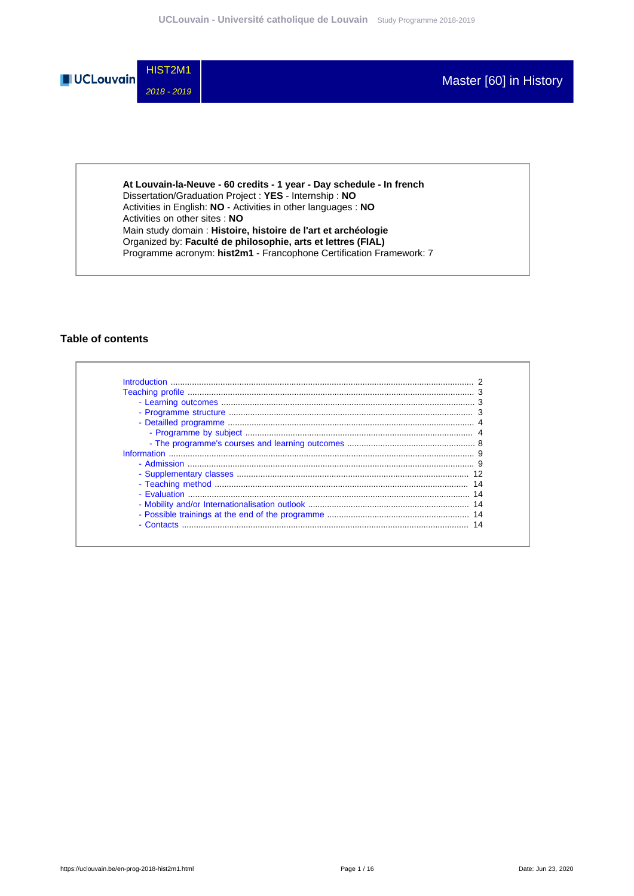

**At Louvain-la-Neuve - 60 credits - 1 year - Day schedule - In french** Dissertation/Graduation Project : **YES** - Internship : **NO** Activities in English: **NO** - Activities in other languages : **NO** Activities on other sites : **NO** Main study domain : **Histoire, histoire de l'art et archéologie** Organized by: **Faculté de philosophie, arts et lettres (FIAL)** Programme acronym: **hist2m1** - Francophone Certification Framework: 7

### **Table of contents**

| - Fyaluation $\ldots$ |  |
|-----------------------|--|
|                       |  |
|                       |  |
| - Contacts            |  |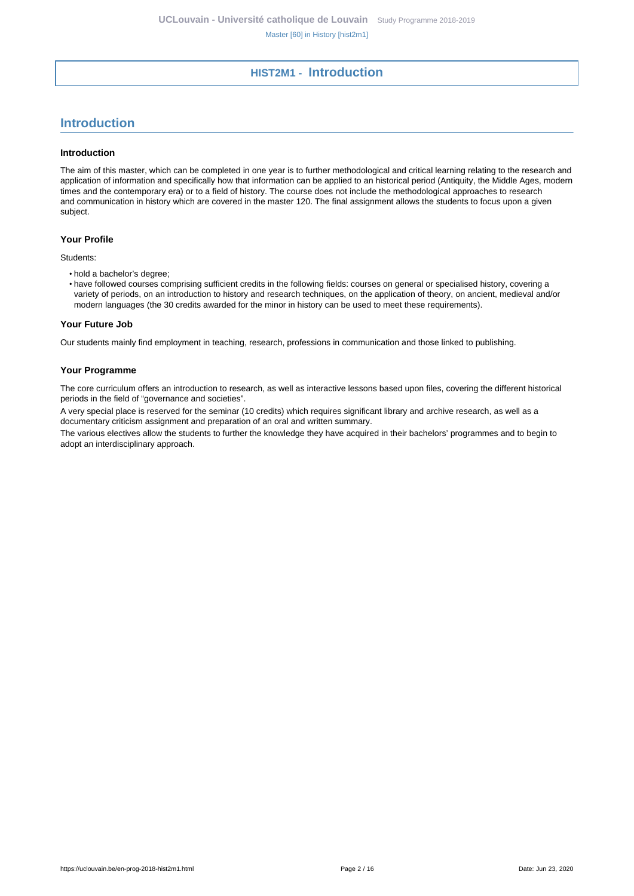## **HIST2M1 - Introduction**

# <span id="page-1-0"></span>**Introduction**

#### **Introduction**

The aim of this master, which can be completed in one year is to further methodological and critical learning relating to the research and application of information and specifically how that information can be applied to an historical period (Antiquity, the Middle Ages, modern times and the contemporary era) or to a field of history. The course does not include the methodological approaches to research and communication in history which are covered in the master 120. The final assignment allows the students to focus upon a given subject.

#### **Your Profile**

Students:

- hold a bachelor's degree;
- have followed courses comprising sufficient credits in the following fields: courses on general or specialised history, covering a variety of periods, on an introduction to history and research techniques, on the application of theory, on ancient, medieval and/or modern languages (the 30 credits awarded for the minor in history can be used to meet these requirements).

#### **Your Future Job**

Our students mainly find employment in teaching, research, professions in communication and those linked to publishing.

#### **Your Programme**

The core curriculum offers an introduction to research, as well as interactive lessons based upon files, covering the different historical periods in the field of "governance and societies".

A very special place is reserved for the seminar (10 credits) which requires significant library and archive research, as well as a documentary criticism assignment and preparation of an oral and written summary.

The various electives allow the students to further the knowledge they have acquired in their bachelors' programmes and to begin to adopt an interdisciplinary approach.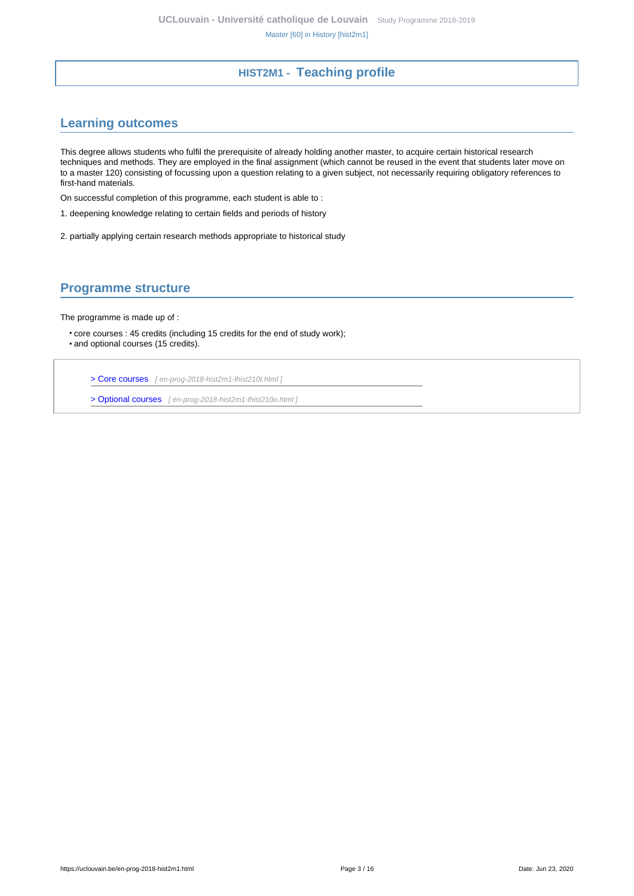## **HIST2M1 - Teaching profile**

## <span id="page-2-1"></span><span id="page-2-0"></span>**Learning outcomes**

This degree allows students who fulfil the prerequisite of already holding another master, to acquire certain historical research techniques and methods. They are employed in the final assignment (which cannot be reused in the event that students later move on to a master 120) consisting of focussing upon a question relating to a given subject, not necessarily requiring obligatory references to first-hand materials.

On successful completion of this programme, each student is able to :

- 1. deepening knowledge relating to certain fields and periods of history
- 2. partially applying certain research methods appropriate to historical study

## <span id="page-2-2"></span>**Programme structure**

The programme is made up of :

• core courses : 45 credits (including 15 credits for the end of study work); • and optional courses (15 credits).

[> Core courses](en-prog-2018-hist2m1-lhist210t.html) [ en-prog-2018-hist2m1-lhist210t.html ]

[> Optional courses](en-prog-2018-hist2m1-lhist210o.html) [ en-prog-2018-hist2m1-lhist210o.html ]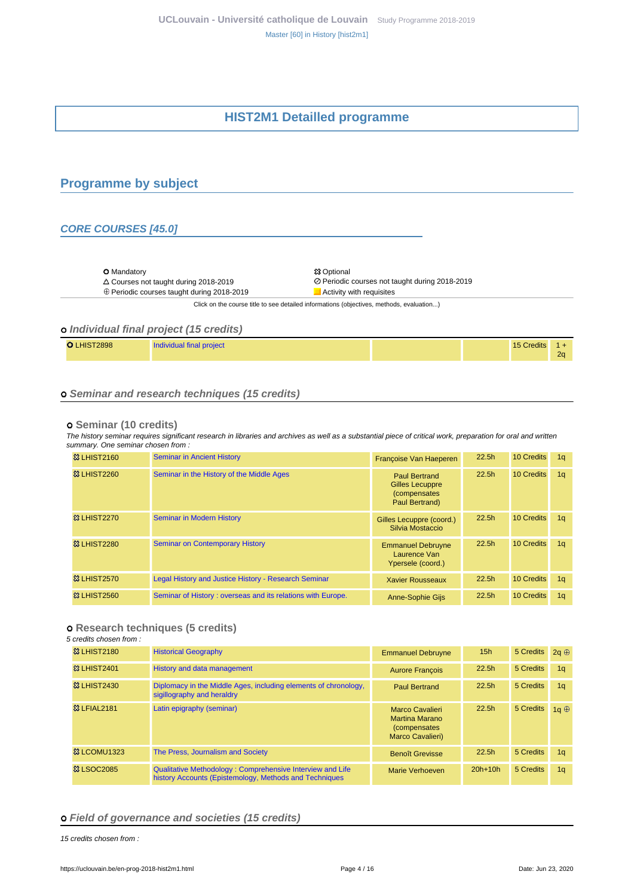# **HIST2M1 Detailled programme**

## <span id="page-3-1"></span><span id="page-3-0"></span>**Programme by subject**

### **CORE COURSES [45.0]**

O Mandatory <br>
△ Courses not taught during 2018-2019 <br>
○ Periodic

 $\oplus$  Periodic courses taught during 2018-2019  $\Box$  Activity with requisites

Courses not taught during 2018-2019 Periodic courses not taught during 2018-2019

Click on the course title to see detailed informations (objectives, methods, evaluation...)

### **Individual final project (15 credits)**

| LHIST2898<br>Individual final project | 15 Credits | 2 <sub>0</sub> |
|---------------------------------------|------------|----------------|
|---------------------------------------|------------|----------------|

### **Seminar and research techniques (15 credits)**

#### **Seminar (10 credits)**

The history seminar requires significant research in libraries and archives as well as a substantial piece of critical work, preparation for oral and written summary. One seminar chosen from :

| <b>&amp;3 LHIST2160</b> | <b>Seminar in Ancient History</b>                           | Françoise Van Haeperen                                                                   | 22.5h             | 10 Credits | 1 <sub>a</sub> |
|-------------------------|-------------------------------------------------------------|------------------------------------------------------------------------------------------|-------------------|------------|----------------|
| <b>&amp; LHIST2260</b>  | Seminar in the History of the Middle Ages                   | <b>Paul Bertrand</b><br><b>Gilles Lecuppre</b><br><i>(compensates)</i><br>Paul Bertrand) | 22.5 <sub>h</sub> | 10 Credits | 1 <sub>q</sub> |
| <b>&amp; LHIST2270</b>  | <b>Seminar in Modern History</b>                            | Gilles Lecuppre (coord.)<br>Silvia Mostaccio                                             | 22.5 <sub>h</sub> | 10 Credits | 1 <sub>q</sub> |
| <b>&amp; LHIST2280</b>  | <b>Seminar on Contemporary History</b>                      | <b>Emmanuel Debruyne</b><br>Laurence Van<br>Ypersele (coord.)                            | 22.5h             | 10 Credits | 1a             |
| <b>&amp;3 LHIST2570</b> | Legal History and Justice History - Research Seminar        | <b>Xavier Rousseaux</b>                                                                  | 22.5h             | 10 Credits | 1 <sub>q</sub> |
| <b>&amp; LHIST2560</b>  | Seminar of History: overseas and its relations with Europe. | <b>Anne-Sophie Gijs</b>                                                                  | 22.5h             | 10 Credits | 1q             |

#### **Research techniques (5 credits)**

5 credits chosen from :

| <b>&amp;3 LHIST2180</b> | <b>Historical Geography</b>                                                                                         | <b>Emmanuel Debruyne</b>                                                                    | 15 <sub>h</sub>   | 5 Credits | $2a \oplus$    |
|-------------------------|---------------------------------------------------------------------------------------------------------------------|---------------------------------------------------------------------------------------------|-------------------|-----------|----------------|
| <b>&amp; LHIST2401</b>  | History and data management                                                                                         | <b>Aurore Francois</b>                                                                      | 22.5 <sub>h</sub> | 5 Credits | 1 <sub>q</sub> |
| <b>&amp;3 LHIST2430</b> | Diplomacy in the Middle Ages, including elements of chronology,<br>sigillography and heraldry                       | <b>Paul Bertrand</b>                                                                        | 22.5 <sub>h</sub> | 5 Credits | 1 <sub>q</sub> |
| <b>&amp; LFIAL2181</b>  | Latin epigraphy (seminar)                                                                                           | <b>Marco Cavalieri</b><br><b>Martina Marano</b><br><i>(compensates)</i><br>Marco Cavalieri) | 22.5 <sub>h</sub> | 5 Credits | 1a $\oplus$    |
| 33 LCOMU1323            | The Press, Journalism and Society                                                                                   | <b>Benoît Grevisse</b>                                                                      | 22.5h             | 5 Credits | 1 <sub>q</sub> |
| <b>&amp; LSOC2085</b>   | Qualitative Methodology: Comprehensive Interview and Life<br>history Accounts (Epistemology, Methods and Techniques | Marie Verhoeven                                                                             | $20h+10h$         | 5 Credits | 1 <sub>q</sub> |

#### **Field of governance and societies (15 credits)**

15 credits chosen from :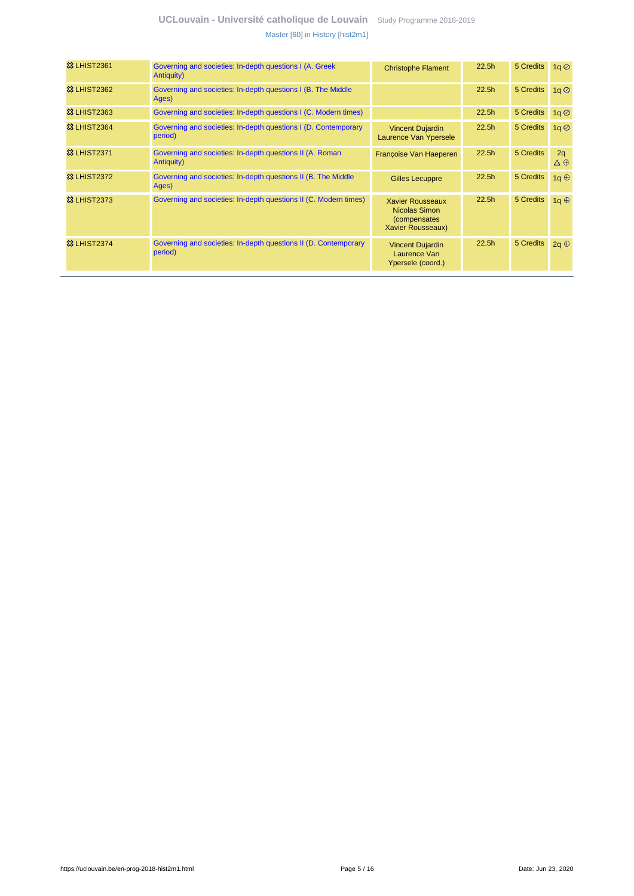| <b>&amp;3 LHIST2361</b> | Governing and societies: In-depth questions I (A. Greek<br>Antiquity)      | <b>Christophe Flament</b>                                                      | 22.5 <sub>h</sub> | 5 Credits | $1q \oslash$                       |
|-------------------------|----------------------------------------------------------------------------|--------------------------------------------------------------------------------|-------------------|-----------|------------------------------------|
| <b>&amp;3 LHIST2362</b> | Governing and societies: In-depth questions I (B. The Middle<br>Ages)      |                                                                                | 22.5 <sub>h</sub> | 5 Credits | 1q                                 |
| <b>&amp; LHIST2363</b>  | Governing and societies: In-depth questions I (C. Modern times)            |                                                                                | 22.5 <sub>h</sub> | 5 Credits | 1q                                 |
| <b>&amp;3 LHIST2364</b> | Governing and societies: In-depth questions I (D. Contemporary<br>period)  | <b>Vincent Dujardin</b><br>Laurence Van Ypersele                               | 22.5 <sub>h</sub> | 5 Credits | $1q$ <sup><math>\odot</math></sup> |
| <b>&amp;3 LHIST2371</b> | Governing and societies: In-depth questions II (A. Roman<br>Antiquity)     | Françoise Van Haeperen                                                         | 22.5 <sub>h</sub> | 5 Credits | 2q<br>$\Delta \oplus$              |
| <b>&amp;3 LHIST2372</b> | Governing and societies: In-depth questions II (B. The Middle<br>Ages)     | <b>Gilles Lecuppre</b>                                                         | 22.5 <sub>h</sub> | 5 Credits | 1q $\oplus$                        |
| <b>83 LHIST2373</b>     | Governing and societies: In-depth questions II (C. Modern times)           | <b>Xavier Rousseaux</b><br>Nicolas Simon<br>(compensates)<br>Xavier Rousseaux) | 22.5 <sub>h</sub> | 5 Credits | 1q $oplus$                         |
| <b>&amp; LHIST2374</b>  | Governing and societies: In-depth questions II (D. Contemporary<br>period) | <b>Vincent Dujardin</b><br>Laurence Van<br>Ypersele (coord.)                   | 22.5 <sub>h</sub> | 5 Credits | $2q \oplus$                        |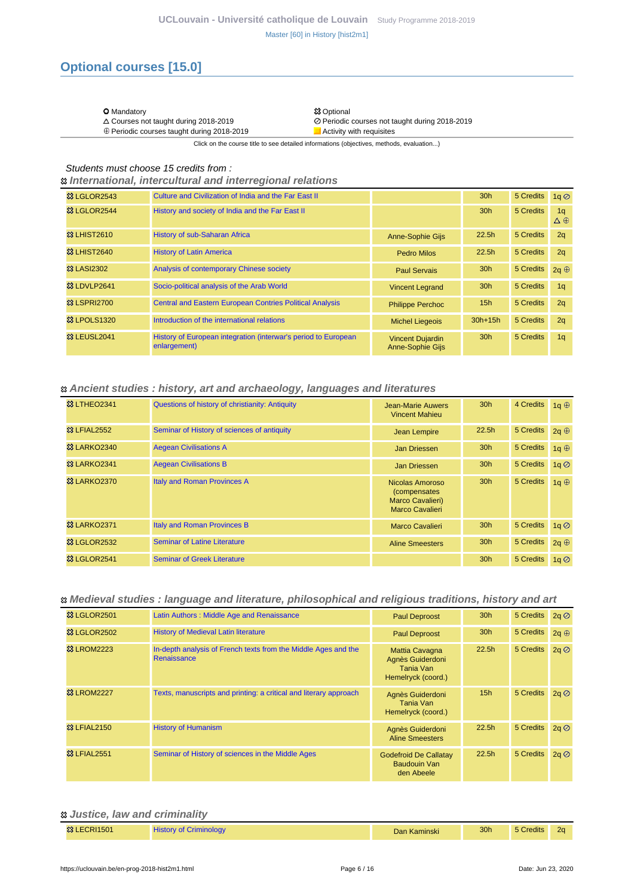# **Optional courses [15.0]**

| <b>O</b> Mandatory                              | <b>83 Optional</b>                             |
|-------------------------------------------------|------------------------------------------------|
| $\triangle$ Courses not taught during 2018-2019 | ⊘ Periodic courses not taught during 2018-2019 |

**惢 Optional** 

 $\oplus$  Periodic courses taught during 2018-2019  $\Box$  Activity with requisites

Click on the course title to see detailed informations (objectives, methods, evaluation...)

### Students must choose 15 credits from :

 **International, intercultural and interregional relations**

| <b>&amp; LGLOR2543</b>               | Culture and Civilization of India and the Far East II                          |                                                    | 30 <sub>h</sub>   | 5 Credits | 1q                                |
|--------------------------------------|--------------------------------------------------------------------------------|----------------------------------------------------|-------------------|-----------|-----------------------------------|
| <b>&amp; LGLOR2544</b>               | History and society of India and the Far East II                               |                                                    | 30 <sub>h</sub>   | 5 Credits | 1 <sub>q</sub><br>$\Delta \oplus$ |
| <b>&amp; LHIST2610</b>               | <b>History of sub-Saharan Africa</b>                                           | <b>Anne-Sophie Gijs</b>                            | 22.5 <sub>h</sub> | 5 Credits | 2q                                |
| <b>&amp;3 LHIST2640</b>              | <b>History of Latin America</b>                                                | Pedro Milos                                        | 22.5 <sub>h</sub> | 5 Credits | 2q                                |
| <b>&amp; LASI2302</b>                | Analysis of contemporary Chinese society                                       | <b>Paul Servais</b>                                | 30 <sub>h</sub>   | 5 Credits | $2q \oplus$                       |
| <sup>3</sup> & LDVLP <sub>2641</sub> | Socio-political analysis of the Arab World                                     | <b>Vincent Legrand</b>                             | 30 <sub>h</sub>   | 5 Credits | 1 <sub>a</sub>                    |
| <b>© LSPRI2700</b>                   | <b>Central and Eastern European Contries Political Analysis</b>                | <b>Philippe Perchoc</b>                            | 15h               | 5 Credits | 2q                                |
| <b>&amp; LPOLS1320</b>               | Introduction of the international relations                                    | <b>Michel Liegeois</b>                             | $30h+15h$         | 5 Credits | 2q                                |
| <b>&amp; LEUSL2041</b>               | History of European integration (interwar's period to European<br>enlargement) | <b>Vincent Dujardin</b><br><b>Anne-Sophie Gijs</b> | 30 <sub>h</sub>   | 5 Credits | 1 <sub>q</sub>                    |

#### **Ancient studies : history, art and archaeology, languages and literatures**

| <b>&amp; LTHEO2341</b>  | Questions of history of christianity: Antiquity | <b>Jean-Marie Auwers</b><br><b>Vincent Mahieu</b>                              | 30 <sub>h</sub>   | 4 Credits             | 1q $oplus$     |
|-------------------------|-------------------------------------------------|--------------------------------------------------------------------------------|-------------------|-----------------------|----------------|
| <b>&amp; LFIAL2552</b>  | Seminar of History of sciences of antiquity     | <b>Jean Lempire</b>                                                            | 22.5 <sub>h</sub> | 5 Credits $2q \oplus$ |                |
| <b>&amp;3 LARKO2340</b> | <b>Aegean Civilisations A</b>                   | Jan Driessen                                                                   | 30 <sub>h</sub>   | 5 Credits             | 1q $\oplus$    |
| 83 LARKO2341            | <b>Aegean Civilisations B</b>                   | Jan Driessen                                                                   | 30 <sub>h</sub>   | 5 Credits             | $1q$ $\oslash$ |
| <b>&amp; LARKO2370</b>  | <b>Italy and Roman Provinces A</b>              | Nicolas Amoroso<br><i>(compensates)</i><br>Marco Cavalieri)<br>Marco Cavalieri | 30 <sub>h</sub>   | 5 Credits             | 1q $oplus$     |
| <b>&amp; LARKO2371</b>  | Italy and Roman Provinces B                     | Marco Cavalieri                                                                | 30 <sub>h</sub>   | 5 Credits             | 1q             |
| <b>&amp; LGLOR2532</b>  | <b>Seminar of Latine Literature</b>             | <b>Aline Smeesters</b>                                                         | 30 <sub>h</sub>   | 5 Credits             | $2q \oplus$    |
| <b>惢 LGLOR2541</b>      | <b>Seminar of Greek Literature</b>              |                                                                                | 30 <sub>h</sub>   | 5 Credits             | 1g $\oslash$   |

### **Medieval studies : language and literature, philosophical and religious traditions, history and art**

| <b>&amp; LGLOR2501</b> | Latin Authors: Middle Age and Renaissance                                     | <b>Paul Deproost</b>                                                         | 30 <sub>h</sub>   | 5 Credits | 2q           |
|------------------------|-------------------------------------------------------------------------------|------------------------------------------------------------------------------|-------------------|-----------|--------------|
| <b>&amp; LGLOR2502</b> | <b>History of Medieval Latin literature</b>                                   | <b>Paul Deproost</b>                                                         | 30 <sub>h</sub>   | 5 Credits | $2q \oplus$  |
| <b>&amp; LROM2223</b>  | In-depth analysis of French texts from the Middle Ages and the<br>Renaissance | <b>Mattia Cavagna</b><br>Agnès Guiderdoni<br>Tania Van<br>Hemelryck (coord.) | 22.5h             | 5 Credits | $2q \oslash$ |
| <b>83 LROM2227</b>     | Texts, manuscripts and printing: a critical and literary approach             | Agnès Guiderdoni<br>Tania Van<br>Hemelryck (coord.)                          | 15h               | 5 Credits | 2q           |
| <b>&amp; LFIAL2150</b> | <b>History of Humanism</b>                                                    | Agnès Guiderdoni<br><b>Aline Smeesters</b>                                   | 22.5 <sub>h</sub> | 5 Credits | 2q           |
| <b>83 LFIAL2551</b>    | Seminar of History of sciences in the Middle Ages                             | <b>Godefroid De Callatay</b><br>Baudouin Van<br>den Abeele                   | 22.5 <sub>h</sub> | 5 Credits | $2q \oslash$ |

### **Justice, law and criminality**

| <b>83 LECRI1501</b> | <b>History of Criminology</b> | Dan Kaminski | 30h | 5 Credits |  |
|---------------------|-------------------------------|--------------|-----|-----------|--|
|---------------------|-------------------------------|--------------|-----|-----------|--|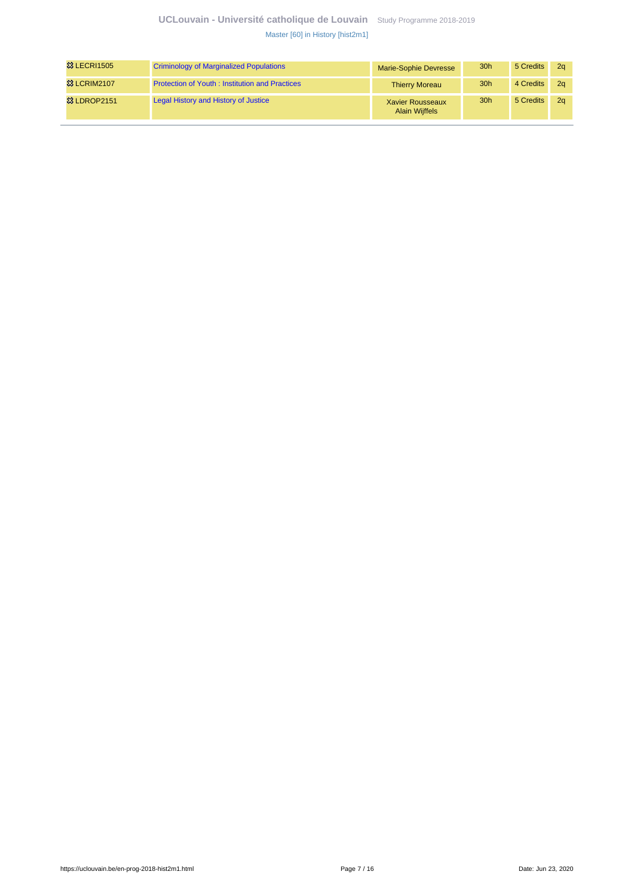| <b>83 LECRI1505</b> | <b>Criminology of Marginalized Populations</b>        | <b>Marie-Sophie Devresse</b>                     | 30 <sub>h</sub> | 5 Credits | 2 <sub>a</sub> |
|---------------------|-------------------------------------------------------|--------------------------------------------------|-----------------|-----------|----------------|
| <b>83 LCRIM2107</b> | <b>Protection of Youth: Institution and Practices</b> | <b>Thierry Moreau</b>                            | 30 <sub>h</sub> | 4 Credits | 2 <sub>a</sub> |
| 33 LDROP2151        | Legal History and History of Justice                  | <b>Xavier Rousseaux</b><br><b>Alain Wijffels</b> | 30 <sub>h</sub> | 5 Credits | 2 <sub>a</sub> |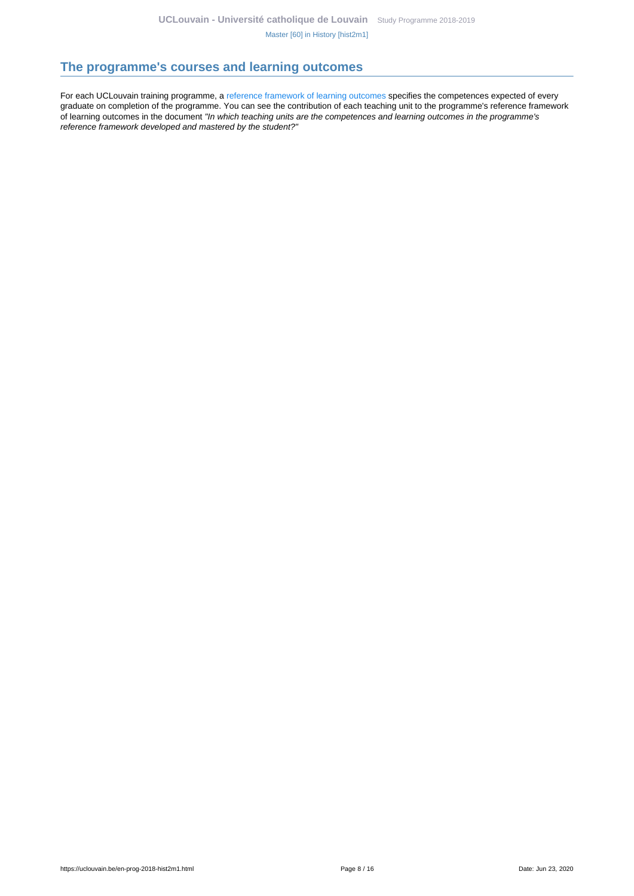## <span id="page-7-0"></span>**The programme's courses and learning outcomes**

For each UCLouvain training programme, a [reference framework of learning outcomes](https://uclouvain.be/en-prog-2018-hist2m1-competences_et_acquis.html) specifies the competences expected of every graduate on completion of the programme. You can see the contribution of each teaching unit to the programme's reference framework of learning outcomes in the document "In which teaching units are the competences and learning outcomes in the programme's reference framework developed and mastered by the student?"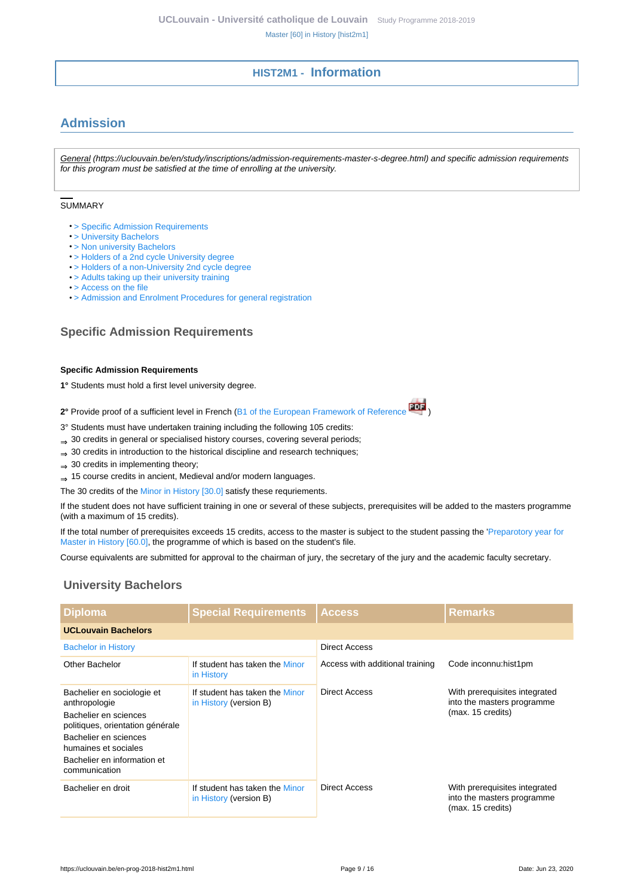# **HIST2M1 - Information**

# <span id="page-8-1"></span><span id="page-8-0"></span>**Admission**

General (https://uclouvain.be/en/study/inscriptions/admission-requirements-master-s-degree.html) and specific admission requirements for this program must be satisfied at the time of enrolling at the university.

#### **SUMMARY**

- > Specific Admission Requirements
- [> University Bachelors](#page-8-2)
- [> Non university Bachelors](#page-9-0)
- [> Holders of a 2nd cycle University degree](#page-9-1)
- [> Holders of a non-University 2nd cycle degree](#page-9-2)
- [> Adults taking up their university training](#page-9-3)
- [> Access on the file](#page-9-4)
- [> Admission and Enrolment Procedures for general registration](#page-10-0)

## **Specific Admission Requirements**

#### **Specific Admission Requirements**

**1°** Students must hold a first level university degree.

**2°** Provide proof of a sufficient level in French ([B1 of the European Framework of Reference](http://www.coe.int/T/DG4/Portfolio/documents/cadrecommun.pdf) )

3° Students must have undertaken training including the following 105 credits:

- ⇒ 30 credits in general or specialised history courses, covering several periods;
- ⇒ 30 credits in introduction to the historical discipline and research techniques;
- $\Rightarrow$  30 credits in implementing theory;
- ⇒ 15 course credits in ancient, Medieval and/or modern languages.

The 30 credits of the [Minor in History \[30.0\]](https://uclouvain.be/en-prog-2018-min-lhist100i) satisfy these requriements.

If the student does not have sufficient training in one or several of these subjects, prerequisites will be added to the masters programme (with a maximum of 15 credits).

If the total number of prerequisites exceeds 15 credits, access to the master is subject to the student passing the '[Preparotory year for](https://uclouvain.be/en-prog-2018-hist1pm) [Master in History \[60.0\],](https://uclouvain.be/en-prog-2018-hist1pm) the programme of which is based on the student's file.

Course equivalents are submitted for approval to the chairman of jury, the secretary of the jury and the academic faculty secretary.

## <span id="page-8-2"></span>**University Bachelors**

| <b>Diploma</b>                                                                                                                                                                                            | <b>Special Requirements</b>                              | <b>Access</b>                   | <b>Remarks</b>                                                                   |
|-----------------------------------------------------------------------------------------------------------------------------------------------------------------------------------------------------------|----------------------------------------------------------|---------------------------------|----------------------------------------------------------------------------------|
| <b>UCLouvain Bachelors</b>                                                                                                                                                                                |                                                          |                                 |                                                                                  |
| <b>Bachelor in History</b>                                                                                                                                                                                |                                                          | <b>Direct Access</b>            |                                                                                  |
| Other Bachelor                                                                                                                                                                                            | If student has taken the Minor<br>in History             | Access with additional training | Code inconnu: hist1pm                                                            |
| Bachelier en sociologie et<br>anthropologie<br>Bachelier en sciences<br>politiques, orientation générale<br>Bachelier en sciences<br>humaines et sociales<br>Bachelier en information et<br>communication | If student has taken the Minor<br>in History (version B) | <b>Direct Access</b>            | With prerequisites integrated<br>into the masters programme<br>(max. 15 credits) |
| Bachelier en droit                                                                                                                                                                                        | If student has taken the Minor<br>in History (version B) | Direct Access                   | With prerequisites integrated<br>into the masters programme<br>(max. 15 credits) |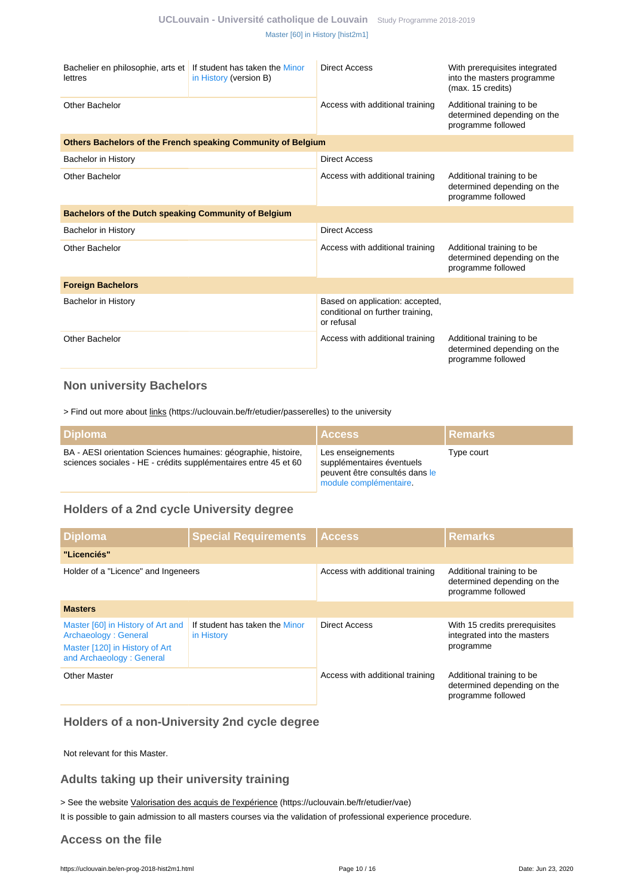| Bachelier en philosophie, arts et If student has taken the Minor<br>lettres | in History (version B)                                       | Direct Access                                                                     | With prerequisites integrated<br>into the masters programme<br>(max. 15 credits) |  |
|-----------------------------------------------------------------------------|--------------------------------------------------------------|-----------------------------------------------------------------------------------|----------------------------------------------------------------------------------|--|
| Other Bachelor                                                              |                                                              | Access with additional training                                                   | Additional training to be<br>determined depending on the<br>programme followed   |  |
|                                                                             | Others Bachelors of the French speaking Community of Belgium |                                                                                   |                                                                                  |  |
| <b>Bachelor in History</b>                                                  |                                                              | Direct Access                                                                     |                                                                                  |  |
| Other Bachelor                                                              |                                                              | Access with additional training                                                   | Additional training to be<br>determined depending on the<br>programme followed   |  |
| Bachelors of the Dutch speaking Community of Belgium                        |                                                              |                                                                                   |                                                                                  |  |
| <b>Bachelor in History</b>                                                  |                                                              | <b>Direct Access</b>                                                              |                                                                                  |  |
| Other Bachelor                                                              |                                                              | Access with additional training                                                   | Additional training to be<br>determined depending on the<br>programme followed   |  |
| <b>Foreign Bachelors</b>                                                    |                                                              |                                                                                   |                                                                                  |  |
| <b>Bachelor in History</b>                                                  |                                                              | Based on application: accepted,<br>conditional on further training,<br>or refusal |                                                                                  |  |
| Other Bachelor                                                              |                                                              | Access with additional training                                                   | Additional training to be<br>determined depending on the<br>programme followed   |  |

## <span id="page-9-0"></span>**Non university Bachelors**

> Find out more about links (https://uclouvain.be/fr/etudier/passerelles) to the university

| l Diploma                                                                                                                         | <b>Access</b>                                                                                              | <b>I</b> Remarks |
|-----------------------------------------------------------------------------------------------------------------------------------|------------------------------------------------------------------------------------------------------------|------------------|
| BA - AESI orientation Sciences humaines: géographie, histoire,<br>sciences sociales - HE - crédits supplémentaires entre 45 et 60 | Les enseignements<br>supplémentaires éventuels<br>peuvent être consultés dans le<br>module complémentaire. | Type court       |

## <span id="page-9-1"></span>**Holders of a 2nd cycle University degree**

| Diploma                                                                                                                 | <b>Special Requirements</b>                  | <b>Access</b>                   | <b>Remarks</b>                                                                 |
|-------------------------------------------------------------------------------------------------------------------------|----------------------------------------------|---------------------------------|--------------------------------------------------------------------------------|
| "Licenciés"                                                                                                             |                                              |                                 |                                                                                |
| Holder of a "Licence" and Ingeneers                                                                                     |                                              | Access with additional training | Additional training to be<br>determined depending on the<br>programme followed |
| <b>Masters</b>                                                                                                          |                                              |                                 |                                                                                |
| Master [60] in History of Art and<br>Archaeology: General<br>Master [120] in History of Art<br>and Archaeology: General | If student has taken the Minor<br>in History | <b>Direct Access</b>            | With 15 credits prerequisites<br>integrated into the masters<br>programme      |
| <b>Other Master</b>                                                                                                     |                                              | Access with additional training | Additional training to be<br>determined depending on the<br>programme followed |

## <span id="page-9-2"></span>**Holders of a non-University 2nd cycle degree**

Not relevant for this Master.

### <span id="page-9-3"></span>**Adults taking up their university training**

> See the website Valorisation des acquis de l'expérience (https://uclouvain.be/fr/etudier/vae)

It is possible to gain admission to all masters courses via the validation of professional experience procedure.

### <span id="page-9-4"></span>**Access on the file**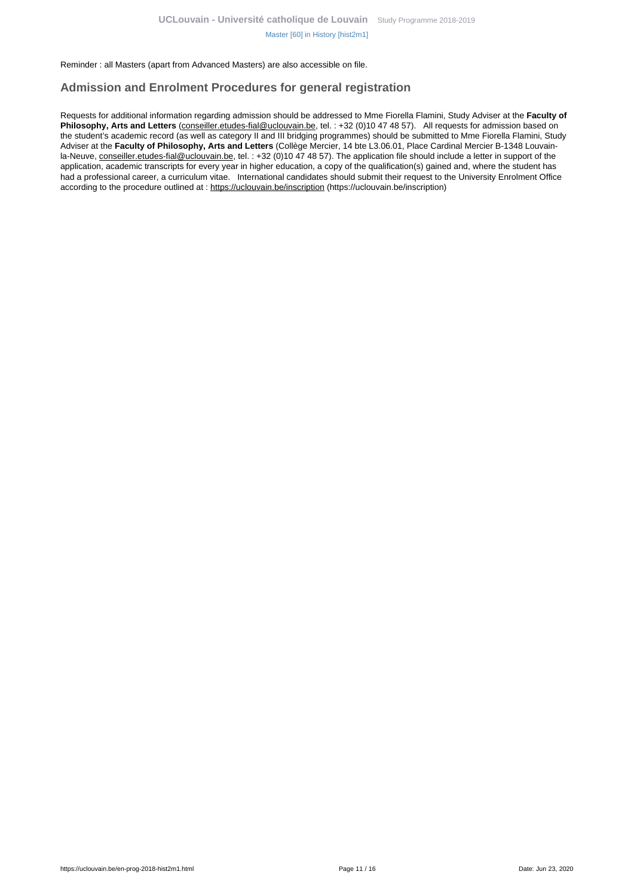Reminder : all Masters (apart from Advanced Masters) are also accessible on file.

### <span id="page-10-0"></span>**Admission and Enrolment Procedures for general registration**

Requests for additional information regarding admission should be addressed to Mme Fiorella Flamini, Study Adviser at the **Faculty of Philosophy, Arts and Letters** (conseiller.etudes-fial@uclouvain.be, tel. : +32 (0)10 47 48 57). All requests for admission based on the student's academic record (as well as category II and III bridging programmes) should be submitted to Mme Fiorella Flamini, Study Adviser at the **Faculty of Philosophy, Arts and Letters** (Collège Mercier, 14 bte L3.06.01, Place Cardinal Mercier B-1348 Louvainla-Neuve, conseiller.etudes-fial@uclouvain.be, tel. : +32 (0)10 47 48 57). The application file should include a letter in support of the application, academic transcripts for every year in higher education, a copy of the qualification(s) gained and, where the student has had a professional career, a curriculum vitae. International candidates should submit their request to the University Enrolment Office according to the procedure outlined at : https://uclouvain.be/inscription (https://uclouvain.be/inscription)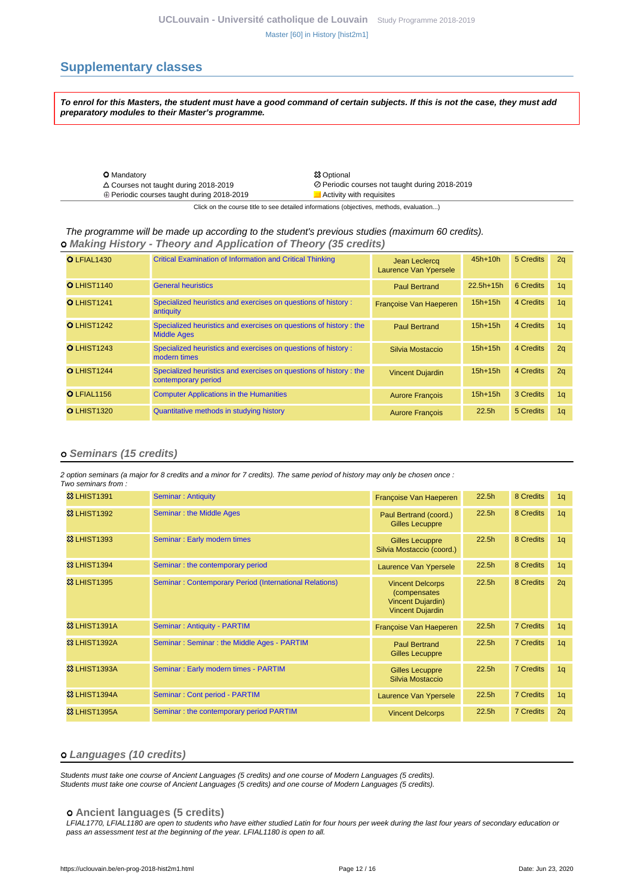## <span id="page-11-0"></span>**Supplementary classes**

**To enrol for this Masters, the student must have a good command of certain subjects. If this is not the case, they must add preparatory modules to their Master's programme.**

| <b>O</b> Mandatory                                | <b>83 Optional</b>                             |
|---------------------------------------------------|------------------------------------------------|
| $\triangle$ Courses not taught during 2018-2019   | ⊘ Periodic courses not taught during 2018-2019 |
| $\oplus$ Periodic courses taught during 2018-2019 | Activity with requisites                       |
|                                                   |                                                |

Click on the course title to see detailed informations (objectives, methods, evaluation...)

#### The programme will be made up according to the student's previous studies (maximum 60 credits).  **Making History - Theory and Application of Theory (35 credits)**

| O LFIAL1430        | <b>Critical Examination of Information and Critical Thinking</b>                         | Jean Leclercq<br>Laurence Van Ypersele | $45h+10h$         | 5 Credits | 2q             |
|--------------------|------------------------------------------------------------------------------------------|----------------------------------------|-------------------|-----------|----------------|
| <b>OLHIST1140</b>  | <b>General heuristics</b>                                                                | <b>Paul Bertrand</b>                   | $22.5h+15h$       | 6 Credits | 1 <sub>q</sub> |
| <b>O</b> LHIST1241 | Specialized heuristics and exercises on questions of history :<br>antiquity              | Françoise Van Haeperen                 | $15h+15h$         | 4 Credits | 1 <sub>q</sub> |
| <b>O</b> LHIST1242 | Specialized heuristics and exercises on questions of history : the<br><b>Middle Ages</b> | <b>Paul Bertrand</b>                   | $15h+15h$         | 4 Credits | 1q             |
| <b>O</b> LHIST1243 | Specialized heuristics and exercises on questions of history :<br>modern times           | Silvia Mostaccio                       | $15h+15h$         | 4 Credits | 2q             |
| O LHIST1244        | Specialized heuristics and exercises on questions of history: the<br>contemporary period | <b>Vincent Dujardin</b>                | $15h+15h$         | 4 Credits | 2q             |
| O LFIAL1156        | <b>Computer Applications in the Humanities</b>                                           | <b>Aurore François</b>                 | $15h+15h$         | 3 Credits | 1 <sub>a</sub> |
| O LHIST1320        | Quantitative methods in studying history                                                 | <b>Aurore François</b>                 | 22.5 <sub>h</sub> | 5 Credits | 1q             |

#### **Seminars (15 credits)**

2 option seminars (a major for 8 credits and a minor for 7 credits). The same period of history may only be chosen once : Two seminars from

| <b>&amp;3 LHIST1391</b> | <b>Seminar: Antiquity</b>                              | Françoise Van Haeperen                                                                         | 22.5h             | 8 Credits        | 1q             |
|-------------------------|--------------------------------------------------------|------------------------------------------------------------------------------------------------|-------------------|------------------|----------------|
| <b>83 LHIST1392</b>     | <b>Seminar: the Middle Ages</b>                        | Paul Bertrand (coord.)<br><b>Gilles Lecuppre</b>                                               | 22.5h             | 8 Credits        | 1q             |
| <b>&amp;3 LHIST1393</b> | Seminar: Early modern times                            | <b>Gilles Lecuppre</b><br>Silvia Mostaccio (coord.)                                            | 22.5h             | 8 Credits        | 1 <sub>q</sub> |
| <b>&amp;3 LHIST1394</b> | Seminar: the contemporary period                       | Laurence Van Ypersele                                                                          | 22.5h             | 8 Credits        | 1q             |
| <b>&amp;3 LHIST1395</b> | Seminar: Contemporary Period (International Relations) | <b>Vincent Delcorps</b><br>(compensates<br><b>Vincent Dujardin)</b><br><b>Vincent Dujardin</b> | 22.5 <sub>h</sub> | 8 Credits        | 2q             |
| <b>83 LHIST1391A</b>    | Seminar: Antiquity - PARTIM                            | Françoise Van Haeperen                                                                         | 22.5h             | <b>7 Credits</b> | 1q             |
| 33 LHIST1392A           | Seminar: Seminar: the Middle Ages - PARTIM             | <b>Paul Bertrand</b><br>Gilles Lecuppre                                                        | 22.5 <sub>h</sub> | <b>7 Credits</b> | 1 <sub>q</sub> |
| <b>83 LHIST1393A</b>    | Seminar: Early modern times - PARTIM                   | <b>Gilles Lecuppre</b><br>Silvia Mostaccio                                                     | 22.5h             | <b>7 Credits</b> | 1q             |
| 83 LHIST1394A           | Seminar: Cont period - PARTIM                          | Laurence Van Ypersele                                                                          | 22.5h             | <b>7 Credits</b> | 1q             |
| <b>83 LHIST1395A</b>    | Seminar: the contemporary period PARTIM                | <b>Vincent Delcorps</b>                                                                        | 22.5h             | <b>7 Credits</b> | 2q             |

#### **Languages (10 credits)**

Students must take one course of Ancient Languages (5 credits) and one course of Modern Languages (5 credits). Students must take one course of Ancient Languages (5 credits) and one course of Modern Languages (5 credits).

 **Ancient languages (5 credits)**

LFIAL1770, LFIAL1180 are open to students who have either studied Latin for four hours per week during the last four years of secondary education or pass an assessment test at the beginning of the year. LFIAL1180 is open to all.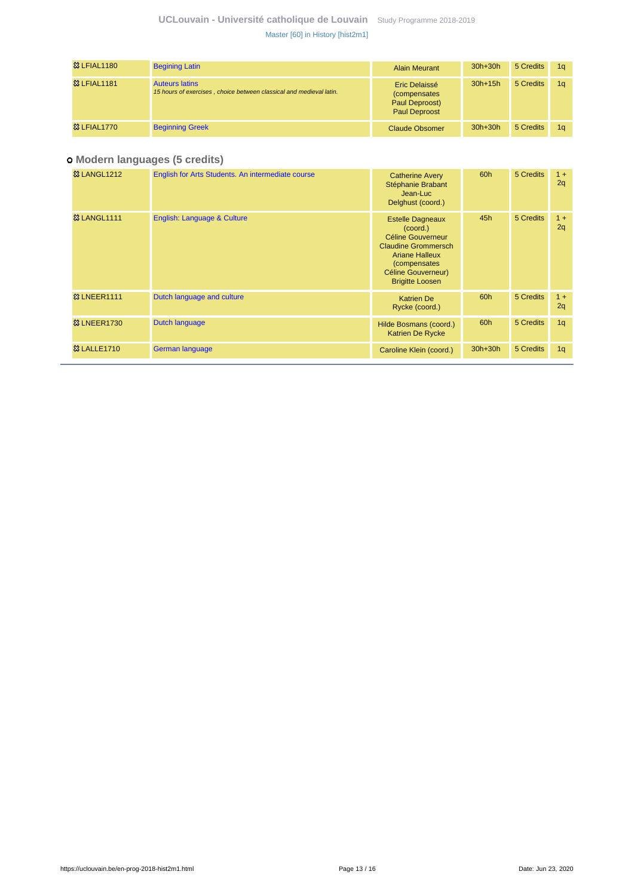| <b>83 LFIAL1180</b>    | <b>Begining Latin</b>                                                                        | <b>Alain Meurant</b>                                                            | $30h+30h$ | 5 Credits | 1a |
|------------------------|----------------------------------------------------------------------------------------------|---------------------------------------------------------------------------------|-----------|-----------|----|
| <b>83 LFIAL1181</b>    | <b>Auteurs latins</b><br>15 hours of exercises, choice between classical and medieval latin. | Eric Delaissé<br><i>(compensates)</i><br>Paul Deproost)<br><b>Paul Deproost</b> | $30h+15h$ | 5 Credits | 1a |
| <b>&amp; LFIAL1770</b> | <b>Beginning Greek</b>                                                                       | Claude Obsomer                                                                  | $30h+30h$ | 5 Credits | 1a |

## **Modern languages (5 credits)**

| <b>&amp; LANGL1212</b>  | English for Arts Students. An intermediate course | <b>Catherine Avery</b><br>Stéphanie Brabant<br>Jean-Luc<br>Delghust (coord.)                                                                                                    | 60h       | 5 Credits | $1 +$<br>2q |
|-------------------------|---------------------------------------------------|---------------------------------------------------------------------------------------------------------------------------------------------------------------------------------|-----------|-----------|-------------|
| <b>&amp;3 LANGL1111</b> | English: Language & Culture                       | <b>Estelle Dagneaux</b><br>(coord.)<br>Céline Gouverneur<br><b>Claudine Grommersch</b><br><b>Ariane Halleux</b><br>(compensates<br>Céline Gouverneur)<br><b>Brigitte Loosen</b> | 45h       | 5 Credits | $1 +$<br>2q |
| <b>&amp;3 LNEER1111</b> | Dutch language and culture                        | <b>Katrien De</b><br>Rycke (coord.)                                                                                                                                             | 60h       | 5 Credits | $1 +$<br>2q |
| <b>&amp; LNEER1730</b>  | Dutch language                                    | Hilde Bosmans (coord.)<br><b>Katrien De Rycke</b>                                                                                                                               | 60h       | 5 Credits | 1q          |
| <b>83 LALLE1710</b>     | German language                                   | Caroline Klein (coord.)                                                                                                                                                         | $30h+30h$ | 5 Credits | 1q          |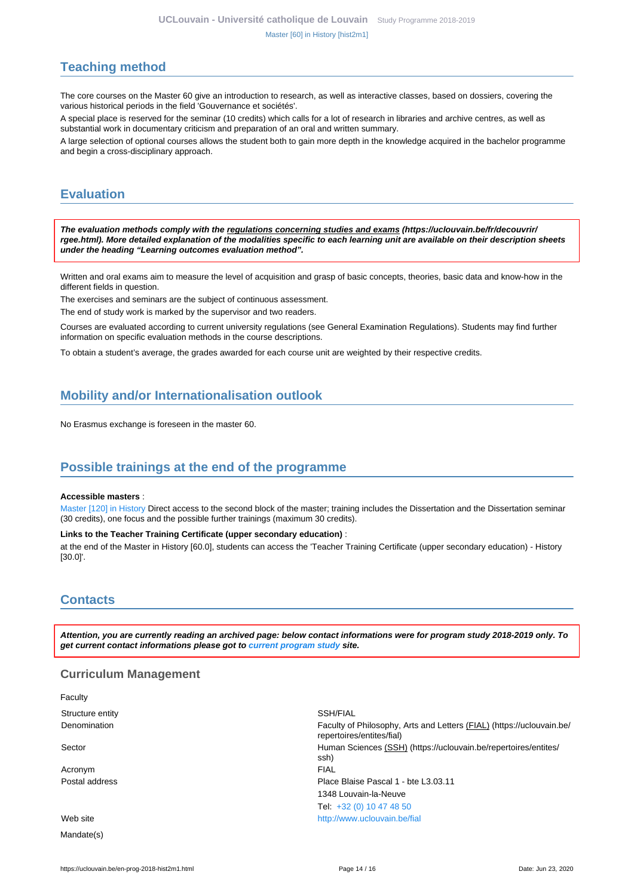# <span id="page-13-0"></span>**Teaching method**

The core courses on the Master 60 give an introduction to research, as well as interactive classes, based on dossiers, covering the various historical periods in the field 'Gouvernance et sociétés'.

A special place is reserved for the seminar (10 credits) which calls for a lot of research in libraries and archive centres, as well as substantial work in documentary criticism and preparation of an oral and written summary.

A large selection of optional courses allows the student both to gain more depth in the knowledge acquired in the bachelor programme and begin a cross-disciplinary approach.

# <span id="page-13-1"></span>**Evaluation**

**The evaluation methods comply with the regulations concerning studies and exams (https://uclouvain.be/fr/decouvrir/ rgee.html). More detailed explanation of the modalities specific to each learning unit are available on their description sheets under the heading "Learning outcomes evaluation method".**

Written and oral exams aim to measure the level of acquisition and grasp of basic concepts, theories, basic data and know-how in the different fields in question.

The exercises and seminars are the subject of continuous assessment.

The end of study work is marked by the supervisor and two readers.

Courses are evaluated according to current university regulations (see General Examination Regulations). Students may find further information on specific evaluation methods in the course descriptions.

To obtain a student's average, the grades awarded for each course unit are weighted by their respective credits.

# <span id="page-13-2"></span>**Mobility and/or Internationalisation outlook**

No Erasmus exchange is foreseen in the master 60.

## <span id="page-13-3"></span>**Possible trainings at the end of the programme**

#### **Accessible masters** :

[Master \[120\] in History](https://uclouvain.be/en-prog-2018-hist2m) Direct access to the second block of the master; training includes the Dissertation and the Dissertation seminar (30 credits), one focus and the possible further trainings (maximum 30 credits).

#### **Links to the Teacher Training Certificate (upper secondary education)** :

at the end of the Master in History [60.0], students can access the 'Teacher Training Certificate (upper secondary education) - History [30.0]'.

## <span id="page-13-4"></span>**Contacts**

**Attention, you are currently reading an archived page: below contact informations were for program study 2018-2019 only. To get current contact informations please got to [current program study](https://uclouvain.be/fr/catalogue-formations) site.**

#### **Curriculum Management**

| Faculty          |                                                                                                    |
|------------------|----------------------------------------------------------------------------------------------------|
| Structure entity | SSH/FIAL                                                                                           |
| Denomination     | Faculty of Philosophy, Arts and Letters (FIAL) (https://uclouvain.be/<br>repertoires/entites/fial) |
| Sector           | Human Sciences (SSH) (https://uclouvain.be/repertoires/entites/<br>ssh)                            |
| Acronym          | <b>FIAL</b>                                                                                        |
| Postal address   | Place Blaise Pascal 1 - bte L3.03.11                                                               |
|                  | 1348 Louvain-la-Neuve                                                                              |
|                  | Tel: +32 (0) 10 47 48 50                                                                           |
| Web site         | http://www.uclouvain.be/fial                                                                       |
| Mandate(s)       |                                                                                                    |